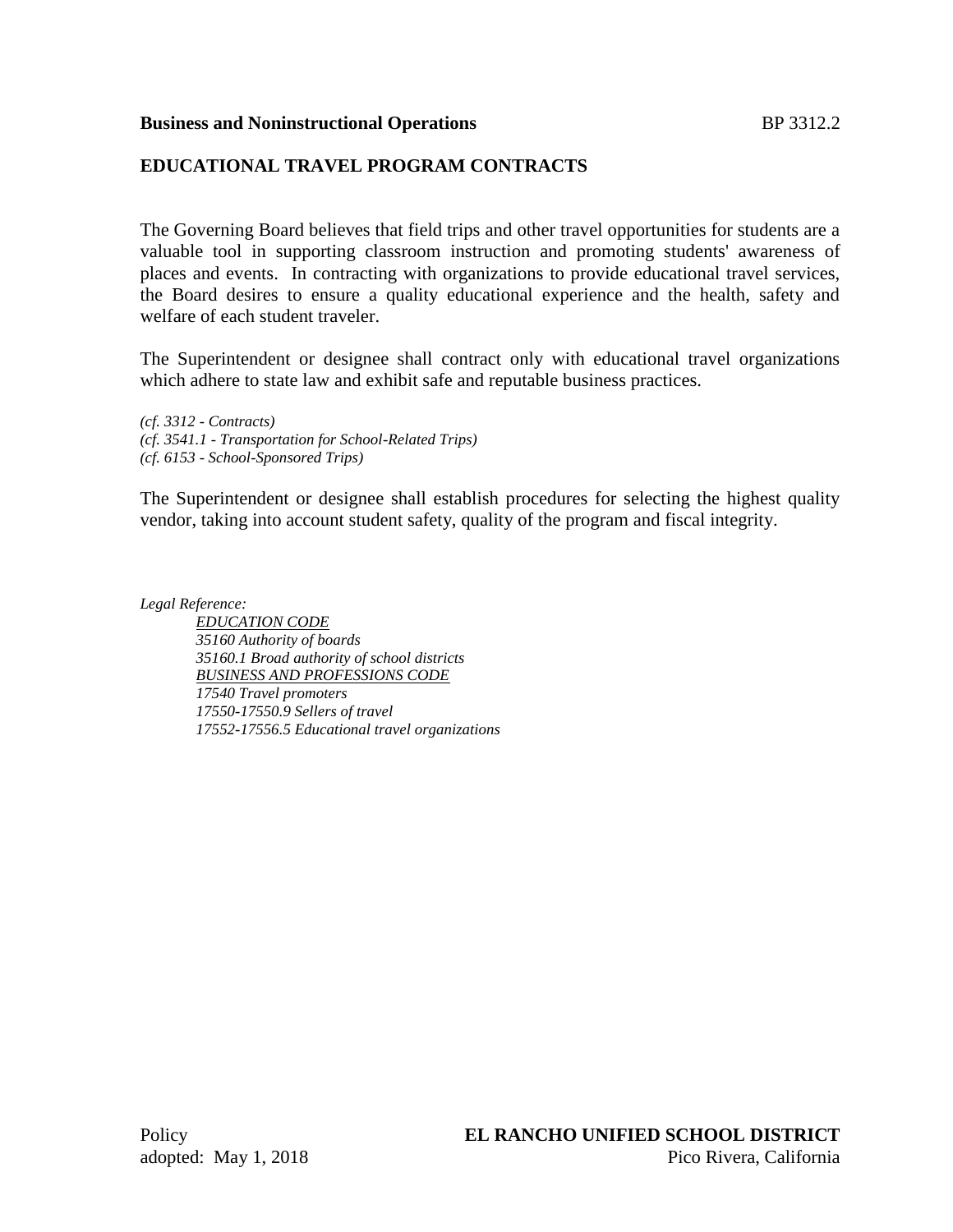#### **Business and Noninstructional Operations** BP 3312.2

## **EDUCATIONAL TRAVEL PROGRAM CONTRACTS**

The Governing Board believes that field trips and other travel opportunities for students are a valuable tool in supporting classroom instruction and promoting students' awareness of places and events. In contracting with organizations to provide educational travel services, the Board desires to ensure a quality educational experience and the health, safety and welfare of each student traveler.

The Superintendent or designee shall contract only with educational travel organizations which adhere to state law and exhibit safe and reputable business practices.

*(cf. 3312 - Contracts) (cf. 3541.1 - Transportation for School-Related Trips) (cf. 6153 - School-Sponsored Trips)*

The Superintendent or designee shall establish procedures for selecting the highest quality vendor, taking into account student safety, quality of the program and fiscal integrity.

*Legal Reference:*

*EDUCATION CODE 35160 Authority of boards 35160.1 Broad authority of school districts BUSINESS AND PROFESSIONS CODE 17540 Travel promoters 17550-17550.9 Sellers of travel 17552-17556.5 Educational travel organizations*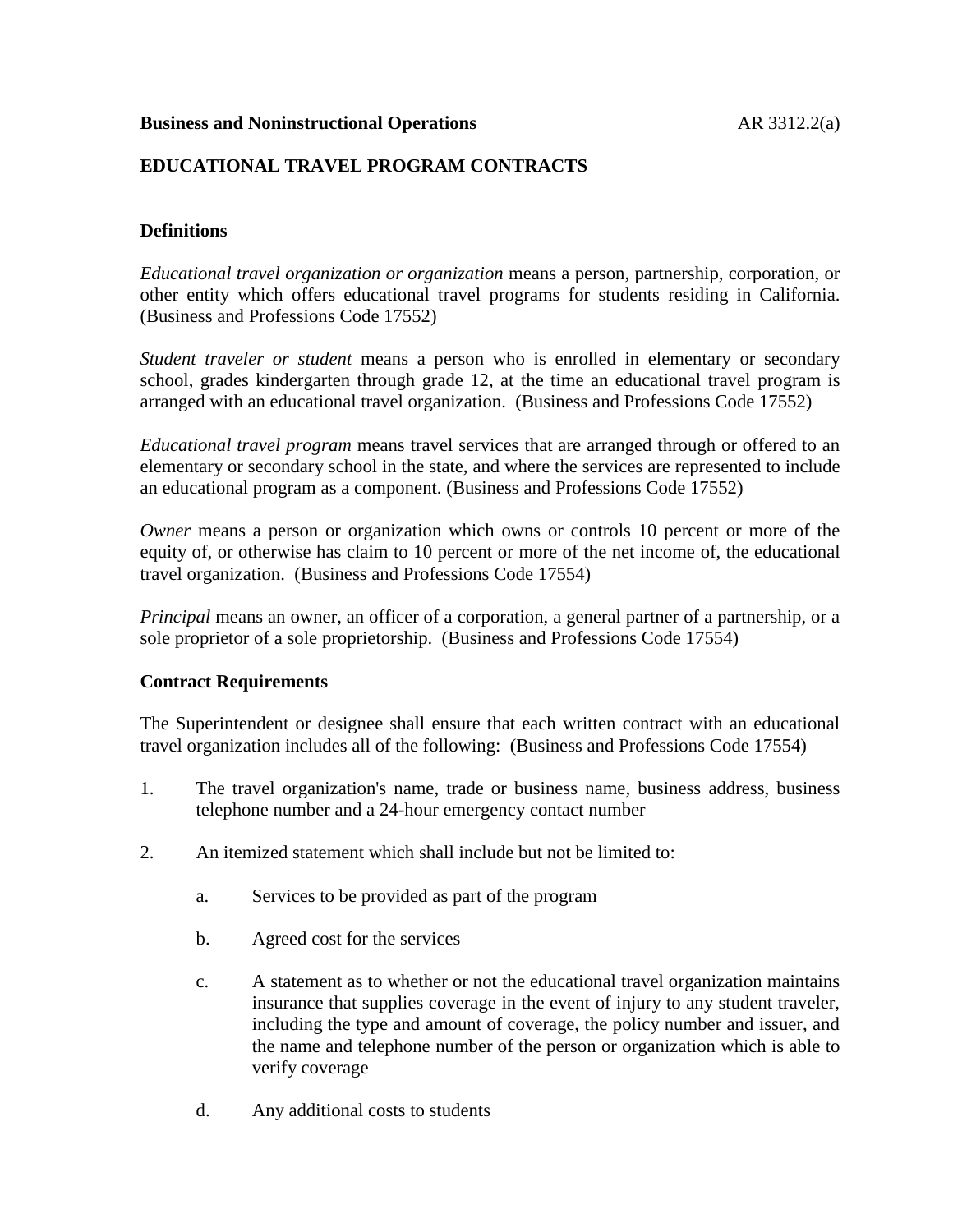## **Business and Noninstructional Operations AR 3312.2(a)**

## **EDUCATIONAL TRAVEL PROGRAM CONTRACTS**

## **Definitions**

*Educational travel organization or organization* means a person, partnership, corporation, or other entity which offers educational travel programs for students residing in California. (Business and Professions Code 17552)

*Student traveler or student* means a person who is enrolled in elementary or secondary school, grades kindergarten through grade 12, at the time an educational travel program is arranged with an educational travel organization. (Business and Professions Code 17552)

*Educational travel program* means travel services that are arranged through or offered to an elementary or secondary school in the state, and where the services are represented to include an educational program as a component. (Business and Professions Code 17552)

*Owner* means a person or organization which owns or controls 10 percent or more of the equity of, or otherwise has claim to 10 percent or more of the net income of, the educational travel organization. (Business and Professions Code 17554)

*Principal* means an owner, an officer of a corporation, a general partner of a partnership, or a sole proprietor of a sole proprietorship. (Business and Professions Code 17554)

## **Contract Requirements**

The Superintendent or designee shall ensure that each written contract with an educational travel organization includes all of the following: (Business and Professions Code 17554)

- 1. The travel organization's name, trade or business name, business address, business telephone number and a 24-hour emergency contact number
- 2. An itemized statement which shall include but not be limited to:
	- a. Services to be provided as part of the program
	- b. Agreed cost for the services
	- c. A statement as to whether or not the educational travel organization maintains insurance that supplies coverage in the event of injury to any student traveler, including the type and amount of coverage, the policy number and issuer, and the name and telephone number of the person or organization which is able to verify coverage
	- d. Any additional costs to students